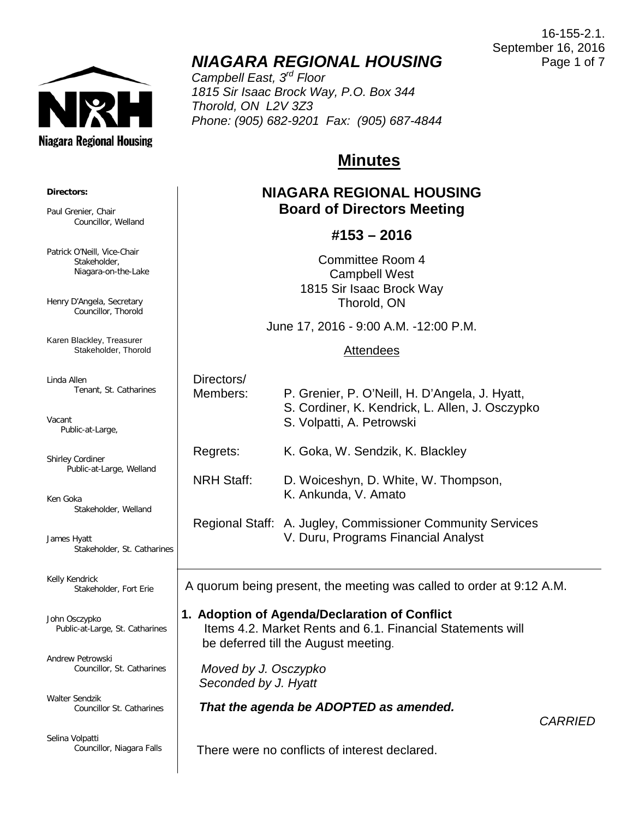

# *NIAGARA REGIONAL HOUSING*

*Campbell East, 3rd Floor 1815 Sir Isaac Brock Way, P.O. Box 344 Thorold, ON L2V 3Z3 Phone: (905) 682-9201 Fax: (905) 687-4844*

# **Minutes**

## **NIAGARA REGIONAL HOUSING Board of Directors Meeting**

## **#153 – 2016**

Committee Room 4 Campbell West 1815 Sir Isaac Brock Way Thorold, ON

June 17, 2016 - 9:00 A.M. -12:00 P.M.

## Attendees

| Directors/        |                                                                                                                                |
|-------------------|--------------------------------------------------------------------------------------------------------------------------------|
| Members:          | P. Grenier, P. O'Neill, H. D'Angela, J. Hyatt,<br>S. Cordiner, K. Kendrick, L. Allen, J. Osczypko<br>S. Volpatti, A. Petrowski |
| Regrets:          | K. Goka, W. Sendzik, K. Blackley                                                                                               |
| <b>NRH Staff:</b> | D. Woiceshyn, D. White, W. Thompson,<br>K. Ankunda, V. Amato                                                                   |

Regional Staff: A. Jugley, Commissioner Community Services V. Duru, Programs Financial Analyst

A quorum being present, the meeting was called to order at 9:12 A.M.

## **1. Adoption of Agenda/Declaration of Conflict**

 Items 4.2. Market Rents and 6.1. Financial Statements will be deferred till the August meeting.

 *Moved by J. Osczypko Seconded by J. Hyatt*

*That the agenda be ADOPTED as amended.*

*CARRIED*

There were no conflicts of interest declared.

**Directors:**

Paul Grenier, Chair Councillor, Welland

Patrick O'Neill, Vice-Chair Stakeholder, Niagara-on-the-Lake

Henry D'Angela, Secretary Councillor, Thorold

Karen Blackley, Treasurer Stakeholder, Thorold

Linda Allen Tenant, St. Catharines

Vacant Public-at-Large,

Shirley Cordiner Public-at-Large, Welland

Ken Goka Stakeholder, Welland

James Hyatt Stakeholder, St. Catharines

 $\overline{\phantom{a}}$ 

Kelly Kendrick Stakeholder, Fort Erie

John Osczypko Public-at-Large, St. Catharines

Andrew Petrowski Councillor, St. Catharines

Walter Sendzik Councillor St. Catharines

Selina Volpatti Councillor, Niagara Falls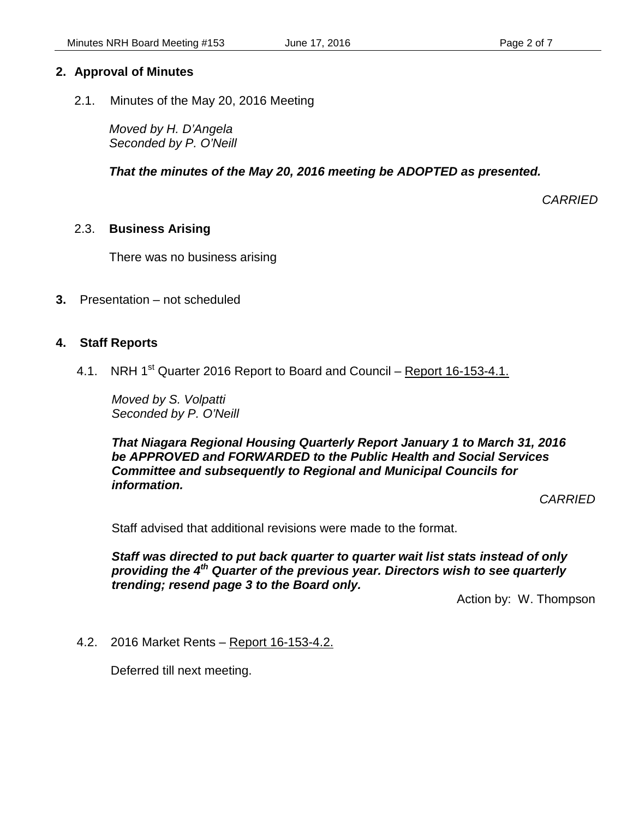## **2. Approval of Minutes**

2.1. Minutes of the May 20, 2016 Meeting

*Moved by H. D'Angela Seconded by P. O'Neill*

 *That the minutes of the May 20, 2016 meeting be ADOPTED as presented.*

*CARRIED*

## 2.3. **Business Arising**

There was no business arising

**3.** Presentation – not scheduled

## **4. Staff Reports**

4.1. NRH 1<sup>st</sup> Quarter 2016 Report to Board and Council – Report 16-153-4.1.

*Moved by S. Volpatti Seconded by P. O'Neill*

*That Niagara Regional Housing Quarterly Report January 1 to March 31, 2016 be APPROVED and FORWARDED to the Public Health and Social Services Committee and subsequently to Regional and Municipal Councils for information.*

*CARRIED*

Staff advised that additional revisions were made to the format.

*Staff was directed to put back quarter to quarter wait list stats instead of only providing the 4th Quarter of the previous year. Directors wish to see quarterly trending; resend page 3 to the Board only.*

Action by: W. Thompson

#### 4.2. 2016 Market Rents – Report 16-153-4.2.

Deferred till next meeting.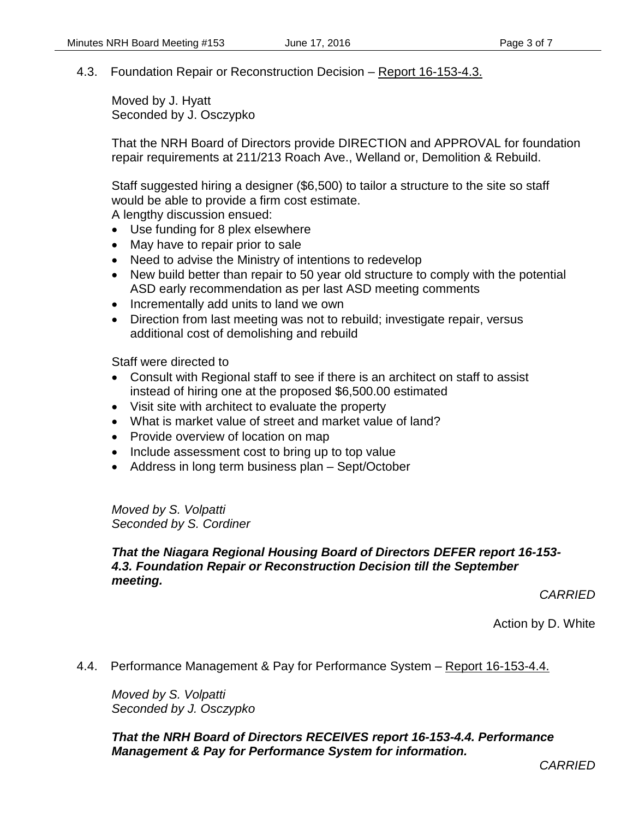## 4.3. Foundation Repair or Reconstruction Decision – Report 16-153-4.3.

Moved by J. Hyatt Seconded by J. Osczypko

That the NRH Board of Directors provide DIRECTION and APPROVAL for foundation repair requirements at 211/213 Roach Ave., Welland or, Demolition & Rebuild.

Staff suggested hiring a designer (\$6,500) to tailor a structure to the site so staff would be able to provide a firm cost estimate. A lengthy discussion ensued:

- Use funding for 8 plex elsewhere
- May have to repair prior to sale
- Need to advise the Ministry of intentions to redevelop
- New build better than repair to 50 year old structure to comply with the potential ASD early recommendation as per last ASD meeting comments
- Incrementally add units to land we own
- Direction from last meeting was not to rebuild; investigate repair, versus additional cost of demolishing and rebuild

Staff were directed to

- Consult with Regional staff to see if there is an architect on staff to assist instead of hiring one at the proposed \$6,500.00 estimated
- Visit site with architect to evaluate the property
- What is market value of street and market value of land?
- Provide overview of location on map
- Include assessment cost to bring up to top value
- Address in long term business plan Sept/October

*Moved by S. Volpatti Seconded by S. Cordiner*

## *That the Niagara Regional Housing Board of Directors DEFER report 16-153- 4.3. Foundation Repair or Reconstruction Decision till the September meeting.*

*CARRIED*

Action by D. White

4.4. Performance Management & Pay for Performance System – Report 16-153-4.4.

*Moved by S. Volpatti Seconded by J. Osczypko*

*That the NRH Board of Directors RECEIVES report 16-153-4.4. Performance Management & Pay for Performance System for information.* 

*CARRIED*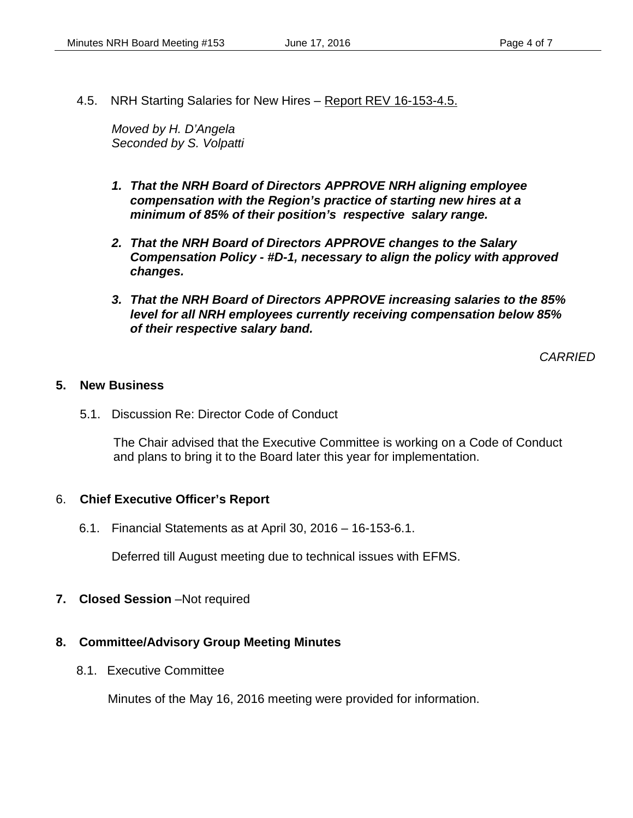4.5. NRH Starting Salaries for New Hires – Report REV 16-153-4.5.

*Moved by H. D'Angela Seconded by S. Volpatti*

- *1. That the NRH Board of Directors APPROVE NRH aligning employee compensation with the Region's practice of starting new hires at a minimum of 85% of their position's respective salary range.*
- *2. That the NRH Board of Directors APPROVE changes to the Salary Compensation Policy - #D-1, necessary to align the policy with approved changes.*
- *3. That the NRH Board of Directors APPROVE increasing salaries to the 85% level for all NRH employees currently receiving compensation below 85% of their respective salary band.*

*CARRIED*

#### **5. New Business**

5.1. Discussion Re: Director Code of Conduct

The Chair advised that the Executive Committee is working on a Code of Conduct and plans to bring it to the Board later this year for implementation.

#### 6. **Chief Executive Officer's Report**

6.1. Financial Statements as at April 30, 2016 – 16-153-6.1.

Deferred till August meeting due to technical issues with EFMS.

**7. Closed Session** –Not required

#### **8. Committee/Advisory Group Meeting Minutes**

8.1. Executive Committee

Minutes of the May 16, 2016 meeting were provided for information.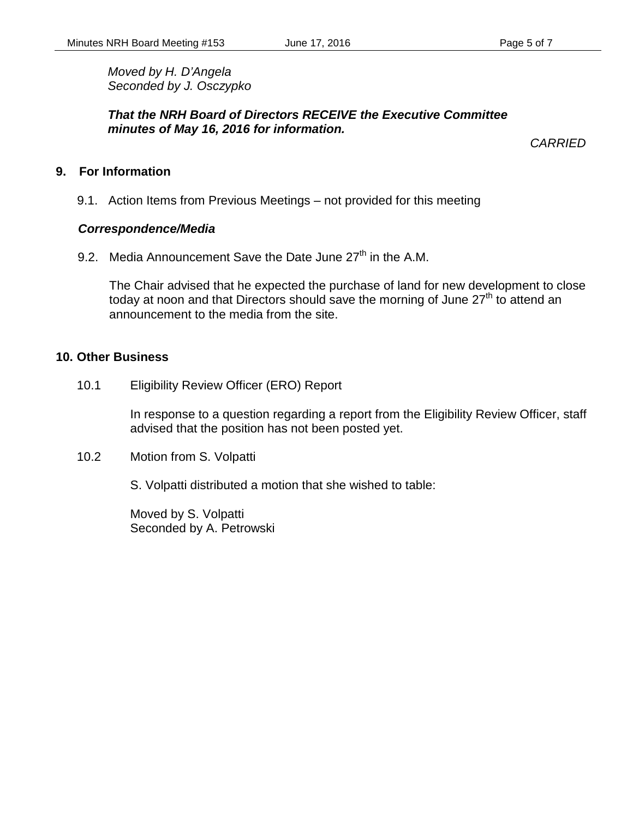*Moved by H. D'Angela Seconded by J. Osczypko*

*That the NRH Board of Directors RECEIVE the Executive Committee minutes of May 16, 2016 for information.*

*CARRIED*

## **9. For Information**

9.1. Action Items from Previous Meetings – not provided for this meeting

## *Correspondence/Media*

9.2. Media Announcement Save the Date June  $27<sup>th</sup>$  in the A.M.

The Chair advised that he expected the purchase of land for new development to close today at noon and that Directors should save the morning of June  $27<sup>th</sup>$  to attend an announcement to the media from the site.

## **10. Other Business**

10.1 Eligibility Review Officer (ERO) Report

In response to a question regarding a report from the Eligibility Review Officer, staff advised that the position has not been posted yet.

10.2 Motion from S. Volpatti

S. Volpatti distributed a motion that she wished to table:

Moved by S. Volpatti Seconded by A. Petrowski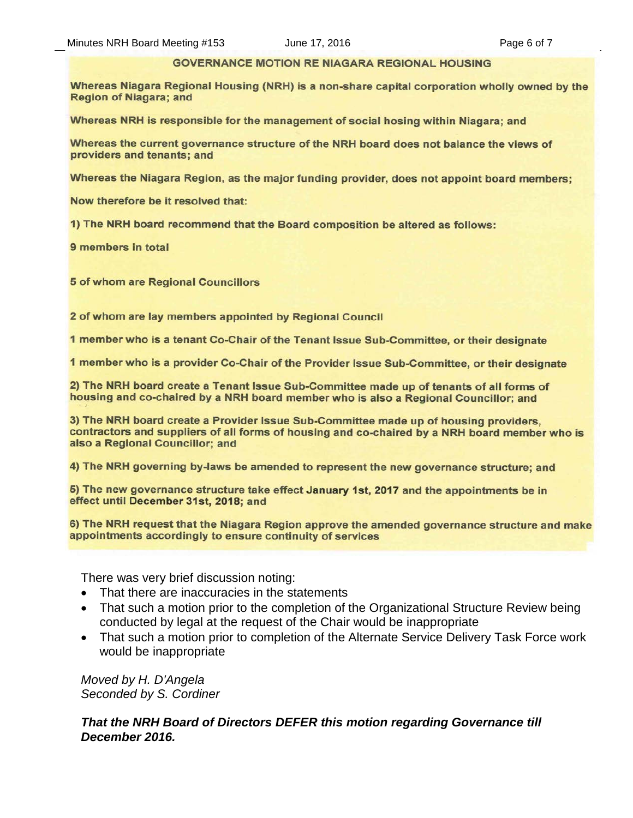#### **GOVERNANCE MOTION RE NIAGARA REGIONAL HOUSING**

Whereas Niagara Regional Housing (NRH) is a non-share capital corporation wholly owned by the **Region of Niagara; and** 

Whereas NRH is responsible for the management of social hosing within Niagara; and

Whereas the current governance structure of the NRH board does not balance the views of providers and tenants; and

Whereas the Niagara Region, as the major funding provider, does not appoint board members;

Now therefore be it resolved that:

1) The NRH board recommend that the Board composition be altered as follows:

9 members in total

**5 of whom are Regional Councillors** 

2 of whom are lay members appointed by Regional Council

1 member who is a tenant Co-Chair of the Tenant Issue Sub-Committee, or their designate

1 member who is a provider Co-Chair of the Provider Issue Sub-Committee, or their designate

2) The NRH board create a Tenant Issue Sub-Committee made up of tenants of all forms of housing and co-chaired by a NRH board member who is also a Regional Councillor; and

3) The NRH board create a Provider Issue Sub-Committee made up of housing providers, contractors and suppliers of all forms of housing and co-chaired by a NRH board member who is also a Regional Councillor; and

4) The NRH governing by-laws be amended to represent the new governance structure; and

5) The new governance structure take effect January 1st, 2017 and the appointments be in effect until December 31st, 2018; and

6) The NRH request that the Niagara Region approve the amended governance structure and make appointments accordingly to ensure continuity of services

There was very brief discussion noting:

- That there are inaccuracies in the statements
- That such a motion prior to the completion of the Organizational Structure Review being conducted by legal at the request of the Chair would be inappropriate
- That such a motion prior to completion of the Alternate Service Delivery Task Force work would be inappropriate

*Moved by H. D'Angela Seconded by S. Cordiner*

*That the NRH Board of Directors DEFER this motion regarding Governance till December 2016.*